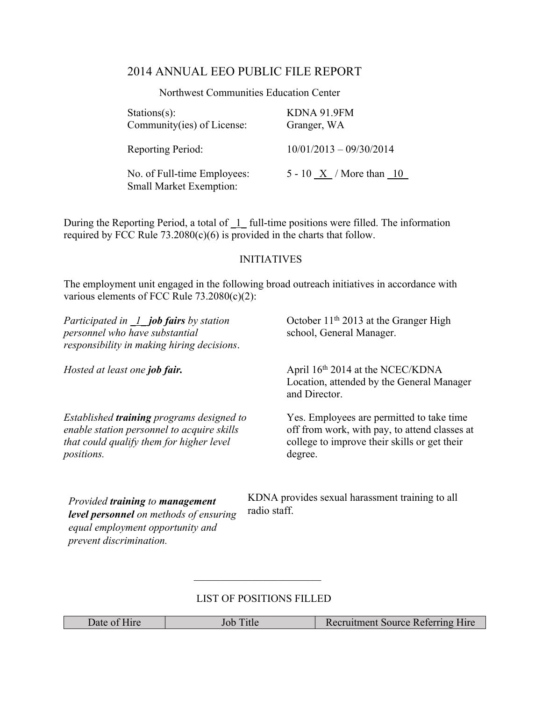## 2014 ANNUAL EEO PUBLIC FILE REPORT

Northwest Communities Education Center

| $Stations(s)$ :<br>Community(ies) of License:          | KDNA 91.9FM<br>Granger, WA           |
|--------------------------------------------------------|--------------------------------------|
| Reporting Period:                                      | $10/01/2013 - 09/30/2014$            |
| No. of Full-time Employees:<br>Small Market Exemption: | 5 - 10 $\overline{X}$ / More than 10 |

During the Reporting Period, a total of  $\overline{1}$  full-time positions were filled. The information required by FCC Rule  $73.2080(c)(6)$  is provided in the charts that follow.

## INITIATIVES

The employment unit engaged in the following broad outreach initiatives in accordance with various elements of FCC Rule 73.2080(c)(2):

| Participated in $\perp$ job fairs by station<br>personnel who have substantial<br>responsibility in making hiring decisions.                             | October $11th 2013$ at the Granger High<br>school, General Manager.                                                                                   |
|----------------------------------------------------------------------------------------------------------------------------------------------------------|-------------------------------------------------------------------------------------------------------------------------------------------------------|
| Hosted at least one job fair.                                                                                                                            | April 16th 2014 at the NCEC/KDNA<br>Location, attended by the General Manager<br>and Director.                                                        |
| Established <b>training</b> programs designed to<br>enable station personnel to acquire skills<br>that could qualify them for higher level<br>positions. | Yes. Employees are permitted to take time<br>off from work, with pay, to attend classes at<br>college to improve their skills or get their<br>degree. |
| $D_{\text{total}}$ d and to give in a to see an agencient                                                                                                | KDNA provides sexual harassment training to all                                                                                                       |

*Provided training to management level personnel on methods of ensuring equal employment opportunity and prevent discrimination.*

 $\overline{\phantom{a}}$ 

ual harassment training to a radio staff.

## LIST OF POSITIONS FILLED

 $\mathcal{L}_\text{max} = \frac{1}{2} \sum_{i=1}^{n} \frac{1}{2} \sum_{i=1}^{n} \frac{1}{2} \sum_{i=1}^{n} \frac{1}{2} \sum_{i=1}^{n} \frac{1}{2} \sum_{i=1}^{n} \frac{1}{2} \sum_{i=1}^{n} \frac{1}{2} \sum_{i=1}^{n} \frac{1}{2} \sum_{i=1}^{n} \frac{1}{2} \sum_{i=1}^{n} \frac{1}{2} \sum_{i=1}^{n} \frac{1}{2} \sum_{i=1}^{n} \frac{1}{2} \sum_{i=1}^{n} \frac{1$ 

| Date of Hire | $\rightarrow$ Title | <b>Recruitment Source Referring Hire</b> |
|--------------|---------------------|------------------------------------------|
|--------------|---------------------|------------------------------------------|